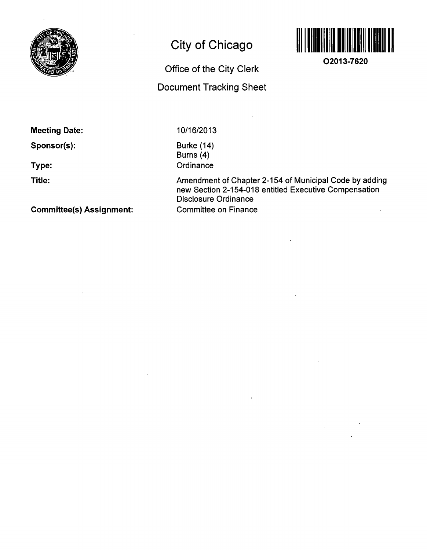

# **City of Chicago**



**O2013-7620** 

# **Office of the City Clerk Document Tracking Sheet**

**Meeting Date:** 

**Sponsor(s):** 

**Type:** 

**Title:** 

10/16/2013

Burke (14) Burns (4) **Ordinance** 

Amendment of Chapter 2-154 of Municipal Code by adding new Section 2-154-018 entitled Executive Compensation Disclosure Ordinance Committee on Finance

**Committee(s) Assignment:**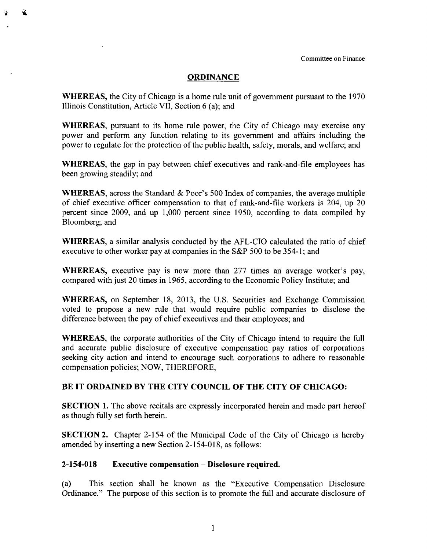#### **ORDINANCE**

Ŷ

WHEREAS, the City of Chicago is a home rule unit of govemment pursuant to the 1970 Illinois Constitution, Article VII, Section 6 (a); and

WHEREAS, pursuant to its home rule power, the City of Chicago may exercise any power and perform any function relating to its govemment and affairs including the power to regulate for the protection of the public health, safety, morals, and welfare; and

WHEREAS, the gap in pay between chief executives and rank-and-file employees has been growing steadily; and

WHEREAS, across the Standard & Poor's 500 Index of companies, the average multiple of chief executive officer compensation to that of rank-and-file workers is 204, up 20 percent since 2009, and up 1,000 percent since 1950, according to data compiled by Bloomberg; and

WHEREAS, a similar analysis conducted by the AFL-CIO calculated the ratio of chief executive to other worker pay at companies in the S&P 500 to be 354-1; and

WHEREAS, executive pay is now more than 277 times an average worker's pay, compared with just 20 times in 1965, according to the Economic Policy Institute; and

WHEREAS, on September 18, 2013, the U.S. Securities and Exchange Commission voted to propose a new rule that would require public companies to disclose the difference between the pay of chief executives and their employees; and

WHEREAS, the corporate authorities of the City of Chicago intend to require the hall and accurate public disclosure of executive compensation pay ratios of corporations seeking city action and intend to encourage such corporations to adhere to reasonable compensation policies; NOW, THEREFORE,

## **BE IT ORDAINED BY THE CITY COUNCIL OF THE CITY OF CHICAGO:**

SECTION 1. The above recitals are expressly incorporated herein and made part hereof as though fully set forth herein.

SECTION 2. Chapter 2-154 of the Municipal Code of the City of Chicago is hereby amended by inserting a new Section 2-154-018, as follows:

## **2-154-018 Executive compensation - Disclosure required.**

(a) This section shall be known as the "Executive Compensation Disclosure Ordinance." The purpose of this section is to promote the full and accurate disclosure of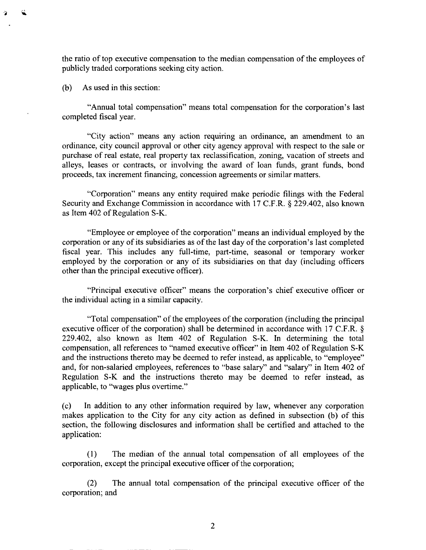the ratio of top executive compensation to the median compensation of the employees of publicly traded corporations seeking city action.

(b) As used in this section:

"Annual total compensation" means total compensation for the corporation's last completed fiscal year.

"City action" means any action requiring an ordinance, an amendment to an ordinance, city council approval or other city agency approval with respect to the sale or purchase of real estate, real property tax reclassification, zoning, vacation of streets and alleys, leases or contracts, or involving the award of loan funds, grant funds, bond proceeds, tax increment financing, concession agreements or similar matters.

"Corporation" means any entity required make periodic filings with the Federal Security and Exchange Commission in accordance with 17 C.F.R. § 229.402, also known as Item 402 of Regulation S-K.

"Employee or employee of the corporation" means an individual employed by the corporation or any of its subsidiaries as of the last day of the corporation's last completed fiscal year. This includes any full-time, part-time, seasonal or temporary worker employed by the corporation or any of its subsidiaries on that day (including officers other than the principal executive officer).

"Principal executive officer" means the corporation's chief executive officer or the individual acting in a similar capacity.

"Total compensation" of the employees of the corporation (including the principal executive officer of the corporation) shall be determined in accordance with 17 C.F.R. § 229.402, also known as Item 402 of Regulation S-K. In determining the total compensation, all references to "named executive officer" in Item 402 of Regulation S-K and the instructions thereto may be deemed to refer instead, as applicable, to "employee" and, for non-salaried employees, references to "base salary" and "salary" in Item 402 of Regulation S-K and the instructions thereto may be deemed to refer instead, as applicable, to "wages plus overtime."

(c) In addition to any other information required by law, whenever any corporation makes application to the City for any city action as defined in subsection (b) of this section, the following disclosures and information shall be certified and attached to the application:

(1) The median of the annual total compensation of all employees of the corporation, except the principal executive officer of the corporation;

(2) The annual total compensation of the principal executive officer of the corporation; and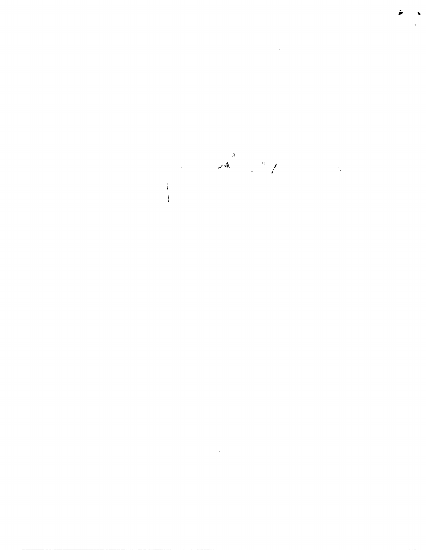$\label{eq:2.1} \mathcal{L}(\mathcal{L}^{\text{max}}_{\mathcal{L}}(\mathcal{L}^{\text{max}}_{\mathcal{L}}))\leq \mathcal{L}(\mathcal{L}^{\text{max}}_{\mathcal{L}}(\mathcal{L}^{\text{max}}_{\mathcal{L}}))\leq \mathcal{L}(\mathcal{L}^{\text{max}}_{\mathcal{L}}(\mathcal{L}^{\text{max}}_{\mathcal{L}}))$ 

 $\label{eq:2.1} \frac{1}{2} \int_{\mathbb{R}^3} \frac{1}{\sqrt{2}} \left( \frac{1}{\sqrt{2}} \int_{\mathbb{R}^3} \frac{1}{\sqrt{2}} \left( \frac{1}{\sqrt{2}} \int_{\mathbb{R}^3} \frac{1}{\sqrt{2}} \int_{\mathbb{R}^3} \frac{1}{\sqrt{2}} \int_{\mathbb{R}^3} \frac{1}{\sqrt{2}} \int_{\mathbb{R}^3} \frac{1}{\sqrt{2}} \int_{\mathbb{R}^3} \frac{1}{\sqrt{2}} \int_{\mathbb{R}^3} \frac{1}{\sqrt{2}} \int$